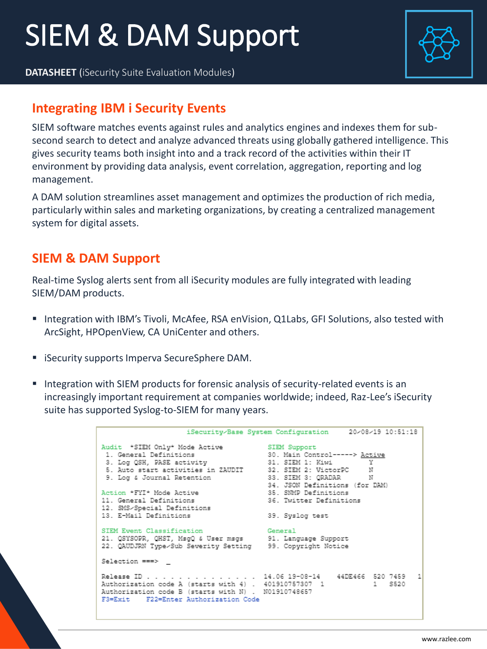# SIEM & DAM Support

**DATASHEET** (iSecurity Suite Evaluation Modules)



## **Integrating IBM i Security Events**

SIEM software matches events against rules and analytics engines and indexes them for subsecond search to detect and analyze advanced threats using globally gathered intelligence. This gives security teams both insight into and a track record of the activities within their IT environment by providing data analysis, event correlation, aggregation, reporting and log management.

A DAM solution streamlines asset management and optimizes the production of rich media, particularly within sales and marketing organizations, by creating a centralized management system for digital assets.

## **SIEM & DAM Support**

Real-time Syslog alerts sent from all iSecurity modules are fully integrated with leading SIEM/DAM products.

- Integration with IBM's Tivoli, McAfee, RSA enVision, Q1Labs, GFI Solutions, also tested with ArcSight, HPOpenView, CA UniCenter and others.
- iSecurity supports Imperva SecureSphere DAM.
- **■** Integration with SIEM products for forensic analysis of security-related events is an increasingly important requirement at companies worldwide; indeed, Raz-Lee's iSecurity suite has supported Syslog-to-SIEM for many years.

```
iSecurity-Base System Configuration
                                                          20-08-19 10:51:18
Audit *SIEM Only* Mode Active
                                     SIEM Support
                                     30. Main Control-----> <u>Active</u><br>31. SIEM 1: Kiwi Y
1. General Definitions
3. Log QSH, PASE activity
\mathbb N9. Log & Journal Retention
                                      33. SIEM 3: QRADAR
                                                              N34. JSON Definitions (for DAM)
Action "FYI* Mode Active
                                      35. SNMP Definitions
11. General Definitions
                                      36. Twitter Definitions
12. SMS/Special Definitions
13. E-Mail Definitions
                                     39. Syslog test
SIEM Event Classification
                                      General
21. QSYSOPR, QHST, MsgQ & User msgs 91. Language Support
22. QAUDJRN Type-Sub Severity Setting 99. Copyright Notice
Selection ===>
Release ID . . . . . . . . . . . . . 14.06 19-08-14 44DE466 520 7459
                                                                           1
Authorization code A (starts with 4) . 401910757307 1<br>Authorization code B (starts with N) . N01910748657
                                                        1   5520
F3=Exit F22=Enter Authorization Code
```